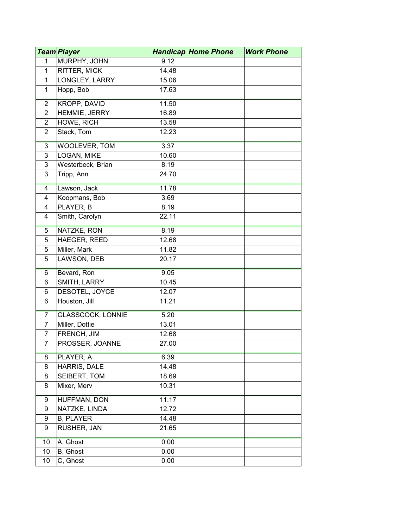|                | <u>Team Player</u>       |       | <b>Handicap Home Phone</b> | <b>Work Phone</b> |
|----------------|--------------------------|-------|----------------------------|-------------------|
| 1              | MURPHY, JOHN             | 9.12  |                            |                   |
| $\mathbf{1}$   | <b>RITTER, MICK</b>      | 14.48 |                            |                   |
| $\mathbf{1}$   | LONGLEY, LARRY           | 15.06 |                            |                   |
| $\mathbf{1}$   | Hopp, Bob                | 17.63 |                            |                   |
| $\overline{2}$ | <b>KROPP, DAVID</b>      | 11.50 |                            |                   |
| $\overline{2}$ | HEMMIE, JERRY            | 16.89 |                            |                   |
| $\overline{2}$ | HOWE, RICH               | 13.58 |                            |                   |
| 2              | Stack, Tom               | 12.23 |                            |                   |
| $\overline{3}$ | <b>WOOLEVER, TOM</b>     | 3.37  |                            |                   |
| 3              | LOGAN, MIKE              | 10.60 |                            |                   |
| 3              | Westerbeck, Brian        | 8.19  |                            |                   |
| 3              | Tripp, Ann               | 24.70 |                            |                   |
| 4              | Lawson, Jack             | 11.78 |                            |                   |
| $\overline{4}$ | Koopmans, Bob            | 3.69  |                            |                   |
| 4              | PLAYER, B                | 8.19  |                            |                   |
| 4              | Smith, Carolyn           | 22.11 |                            |                   |
| $\overline{5}$ | NATZKE, RON              | 8.19  |                            |                   |
| 5              | HAEGER, REED             | 12.68 |                            |                   |
| 5              | Miller, Mark             | 11.82 |                            |                   |
| 5              | LAWSON, DEB              | 20.17 |                            |                   |
| 6              | Bevard, Ron              | 9.05  |                            |                   |
| 6              | SMITH, LARRY             | 10.45 |                            |                   |
| 6              | DESOTEL, JOYCE           | 12.07 |                            |                   |
| 6              | Houston, Jill            | 11.21 |                            |                   |
| $\overline{7}$ | <b>GLASSCOCK, LONNIE</b> | 5.20  |                            |                   |
| $\overline{7}$ | Miller, Dottie           | 13.01 |                            |                   |
| $\overline{7}$ | <b>FRENCH, JIM</b>       | 12.68 |                            |                   |
| 7              | PROSSER, JOANNE          | 27.00 |                            |                   |
| 8              | PLAYER, A                | 6.39  |                            |                   |
| 8              | HARRIS, DALE             | 14.48 |                            |                   |
| 8              | SEIBERT, TOM             | 18.69 |                            |                   |
| 8              | Mixer, Merv              | 10.31 |                            |                   |
| 9              | <b>HUFFMAN, DON</b>      | 11.17 |                            |                   |
| 9              | NATZKE, LINDA            | 12.72 |                            |                   |
| 9              | <b>B, PLAYER</b>         | 14.48 |                            |                   |
| 9              | RUSHER, JAN              | 21.65 |                            |                   |
| 10             | A, Ghost                 | 0.00  |                            |                   |
| 10             | B, Ghost                 | 0.00  |                            |                   |
| 10             | C, Ghost                 | 0.00  |                            |                   |
|                |                          |       |                            |                   |